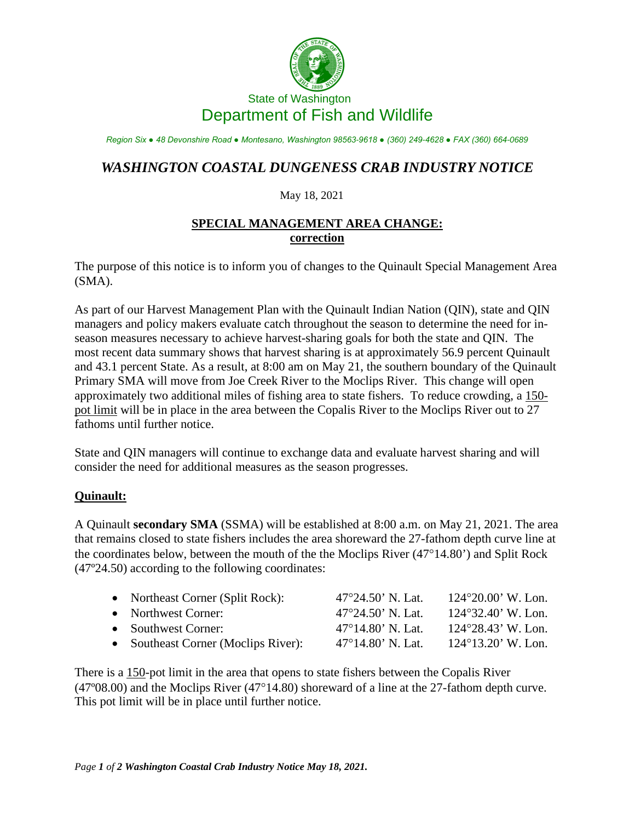

# State of Washington Department of Fish and Wildlife

*Region Six ● 48 Devonshire Road ● Montesano, Washington 98563-9618 ● (360) 249-4628 ● FAX (360) 664-0689*

# *WASHINGTON COASTAL DUNGENESS CRAB INDUSTRY NOTICE*

#### May 18, 2021

## **SPECIAL MANAGEMENT AREA CHANGE: correction**

The purpose of this notice is to inform you of changes to the Quinault Special Management Area (SMA).

As part of our Harvest Management Plan with the Quinault Indian Nation (QIN), state and QIN managers and policy makers evaluate catch throughout the season to determine the need for inseason measures necessary to achieve harvest-sharing goals for both the state and QIN. The most recent data summary shows that harvest sharing is at approximately 56.9 percent Quinault and 43.1 percent State. As a result, at 8:00 am on May 21, the southern boundary of the Quinault Primary SMA will move from Joe Creek River to the Moclips River. This change will open approximately two additional miles of fishing area to state fishers. To reduce crowding, a 150 pot limit will be in place in the area between the Copalis River to the Moclips River out to 27 fathoms until further notice.

State and QIN managers will continue to exchange data and evaluate harvest sharing and will consider the need for additional measures as the season progresses.

### **Quinault:**

A Quinault **secondary SMA** (SSMA) will be established at 8:00 a.m. on May 21, 2021. The area that remains closed to state fishers includes the area shoreward the 27-fathom depth curve line at the coordinates below, between the mouth of the the Moclips River (47°14.80') and Split Rock (47º24.50) according to the following coordinates:

| • Northeast Corner (Split Rock):    | $47^{\circ}24.50$ ' N. Lat. | $124^{\circ}20.00$ ' W. Lon. |
|-------------------------------------|-----------------------------|------------------------------|
| • Northwest Corner:                 | $47^{\circ}24.50$ ' N. Lat. | $124^{\circ}32.40$ ' W. Lon. |
| • Southwest Corner:                 | $47^{\circ}14.80$ ' N. Lat. | $124^{\circ}28.43$ ' W. Lon. |
| • Southeast Corner (Moclips River): | $47^{\circ}14.80$ ' N. Lat. | $124^{\circ}13.20$ ' W. Lon. |

There is a 150-pot limit in the area that opens to state fishers between the Copalis River (47º08.00) and the Moclips River (47°14.80) shoreward of a line at the 27-fathom depth curve. This pot limit will be in place until further notice.